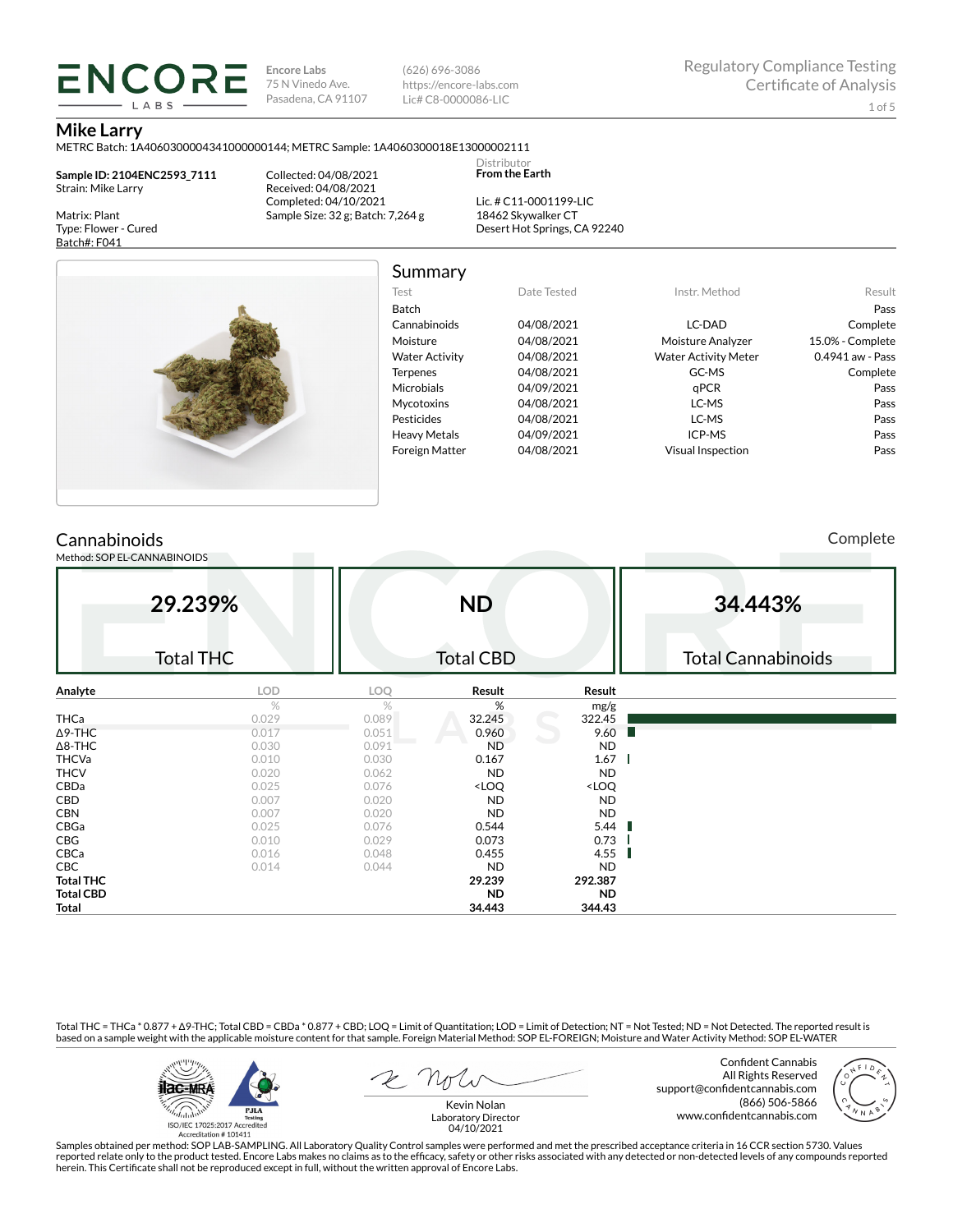**Encore Labs** 75 N Vinedo Ave. Pasadena, CA 91107 (626) 696-3086 https://encore-labs.com Lic# C8-0000086-LIC

Summary

Distributor **From the Earth**

#### **Mike Larry**

METRC Batch: 1A4060300004341000000144; METRC Sample: 1A4060300018E13000002111

**Sample ID: 2104ENC2593\_7111** Strain: Mike Larry

**ENCORE** LABS

Matrix: Plant Type: Flower - Cured Batch#: F041

Collected: 04/08/2021 Received: 04/08/2021 Completed: 04/10/2021 Sample Size: 32 g; Batch: 7,264 g

Lic. # C11-0001199-LIC 18462 Skywalker CT Desert Hot Springs, CA 92240



| Test                  | Date Tested | Instr. Method               | Result           |
|-----------------------|-------------|-----------------------------|------------------|
| <b>Batch</b>          |             |                             | Pass             |
| Cannabinoids          | 04/08/2021  | LC-DAD                      | Complete         |
| Moisture              | 04/08/2021  | Moisture Analyzer           | 15.0% - Complete |
| <b>Water Activity</b> | 04/08/2021  | <b>Water Activity Meter</b> | 0.4941 aw - Pass |
| <b>Terpenes</b>       | 04/08/2021  | GC-MS                       | Complete         |
| Microbials            | 04/09/2021  | aPCR                        | Pass             |
| <b>Mycotoxins</b>     | 04/08/2021  | LC-MS                       | Pass             |
| Pesticides            | 04/08/2021  | LC-MS                       | Pass             |
| <b>Heavy Metals</b>   | 04/09/2021  | ICP-MS                      | Pass             |
| <b>Foreign Matter</b> | 04/08/2021  | <b>Visual Inspection</b>    | Pass             |

## **Cannabinoids**

Method: SOP EL-CANNABINOIDS

Complete

| 29.239%<br><b>Total THC</b> |       | <b>ND</b><br><b>Total CBD</b> |                                                          |                              | 34.443%<br><b>Total Cannabinoids</b> |
|-----------------------------|-------|-------------------------------|----------------------------------------------------------|------------------------------|--------------------------------------|
| Analyte                     | LOD   | LOQ                           | Result                                                   | Result                       |                                      |
|                             | $\%$  | %                             | %                                                        | mg/g                         |                                      |
| <b>THCa</b>                 | 0.029 | 0.089                         | 32.245                                                   | 322.45                       |                                      |
| $\Delta$ 9-THC              | 0.017 | 0.051                         | 0.960                                                    | 9.60                         |                                      |
| $\Delta$ 8-THC              | 0.030 | 0.091                         | <b>ND</b>                                                | <b>ND</b>                    |                                      |
| <b>THCVa</b>                | 0.010 | 0.030                         | 0.167                                                    | 1.67                         |                                      |
| <b>THCV</b>                 | 0.020 | 0.062                         | <b>ND</b>                                                | <b>ND</b>                    |                                      |
| CBDa                        | 0.025 | 0.076                         | <loq< td=""><td><loq< td=""><td></td></loq<></td></loq<> | <loq< td=""><td></td></loq<> |                                      |
| CBD                         | 0.007 | 0.020                         | <b>ND</b>                                                | <b>ND</b>                    |                                      |
| <b>CBN</b>                  | 0.007 | 0.020                         | <b>ND</b>                                                | <b>ND</b>                    |                                      |
| CBGa                        | 0.025 | 0.076                         | 0.544                                                    | 5.44                         |                                      |
| CBG                         | 0.010 | 0.029                         | 0.073                                                    | 0.73                         |                                      |
| CBCa                        | 0.016 | 0.048                         | 0.455                                                    | 4.55                         |                                      |
| CBC                         | 0.014 | 0.044                         | <b>ND</b>                                                | <b>ND</b>                    |                                      |
| <b>Total THC</b>            |       |                               | 29.239                                                   | 292.387                      |                                      |
| <b>Total CBD</b>            |       |                               | ND.                                                      | <b>ND</b>                    |                                      |
| Total                       |       |                               | 34.443                                                   | 344.43                       |                                      |

Total THC = THCa \* 0.877 + ∆9-THC; Total CBD = CBDa \* 0.877 + CBD; LOQ = Limit of Quantitation; LOD = Limit of Detection; NT = Not Tested; ND = Not Detected. The reported result is based on a sample weight with the applicable moisture content for that sample. Foreign Material Method: SOP EL-FOREIGN; Moisture and Water Activity Method: SOP EL-WATER



Confident Cannabis All Rights Reserved support@confidentcannabis.com (866) 506-5866 www.confidentcannabis.com



Samples obtained per method: SOP LAB-SAMPLING. All Laboratory Quality Control samples were performed and met the prescribed acceptance criteria in 16 CCR section 5730. Values reported relate only to the product tested. Encore Labs makes no claims as to the efficacy, safety or other risks associated with any detected or non-detected levels of any compounds reported<br>herein. This Certificate shall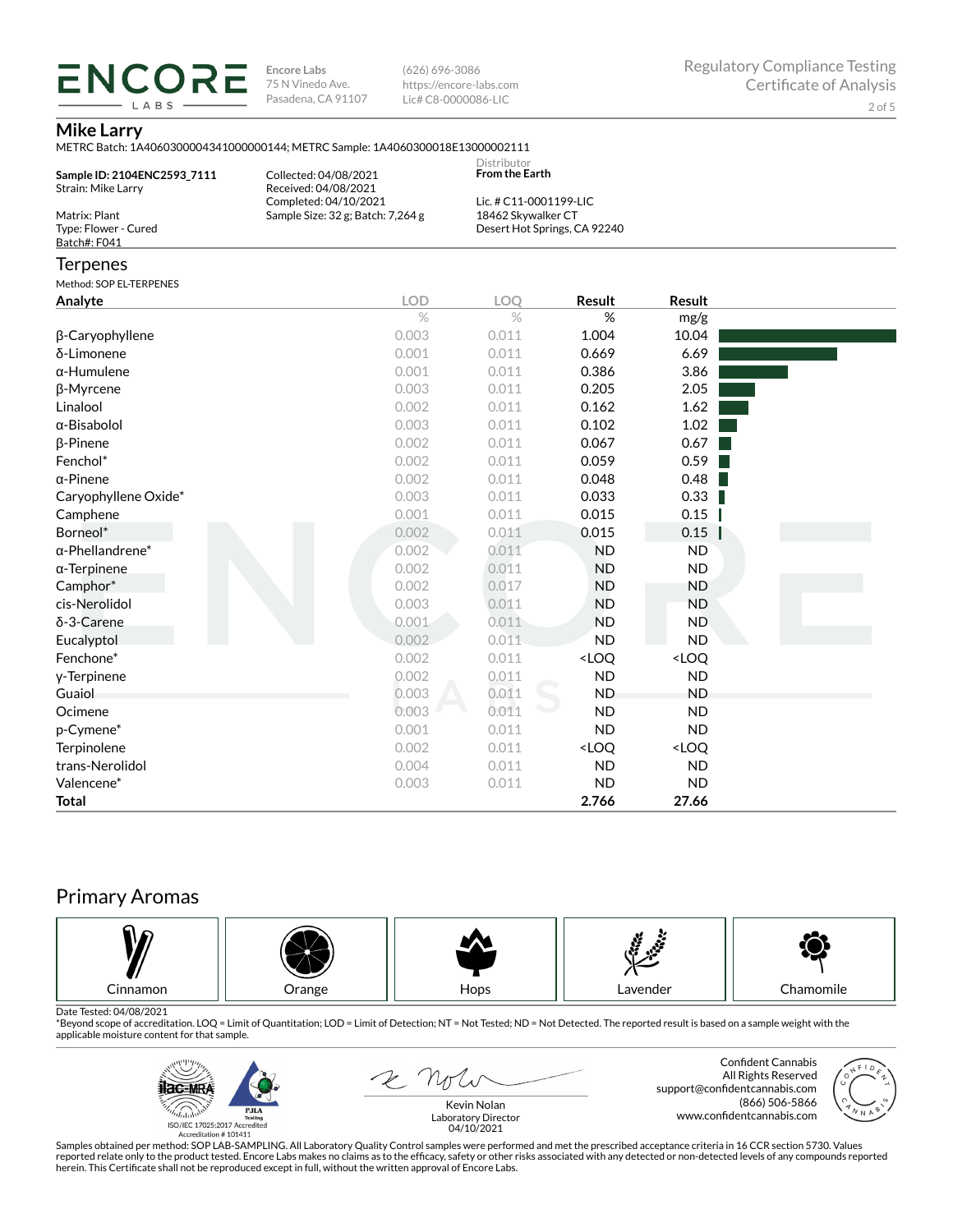**ENCORE Encore Labs** 75 N Vinedo Ave. Pasadena, CA 91107

(626) 696-3086 https://encore-labs.com Lic# C8-0000086-LIC

## **Mike Larry**

LABS

| Sample ID: 2104ENC2593_7111<br>Strain: Mike Larry     | Collected: 04/08/2021<br>Received: 04/08/2021<br>Completed: 04/10/2021 | Distributor<br><b>From the Earth</b><br>Lic. # C11-0001199-LIC |                                                          |                              |  |
|-------------------------------------------------------|------------------------------------------------------------------------|----------------------------------------------------------------|----------------------------------------------------------|------------------------------|--|
| Matrix: Plant<br>Type: Flower - Cured<br>Batch#: F041 | Sample Size: 32 g; Batch: 7,264 g                                      | 18462 Skywalker CT<br>Desert Hot Springs, CA 92240             |                                                          |                              |  |
| Terpenes                                              |                                                                        |                                                                |                                                          |                              |  |
| Method: SOP EL-TERPENES                               |                                                                        |                                                                |                                                          |                              |  |
| Analyte                                               | <b>LOD</b>                                                             | LOO                                                            | Result                                                   | Result                       |  |
|                                                       | $\%$                                                                   | $\%$                                                           | %                                                        | mg/g                         |  |
| β-Caryophyllene                                       | 0.003                                                                  | 0.011                                                          | 1.004                                                    | 10.04                        |  |
| δ-Limonene                                            | 0.001                                                                  | 0.011                                                          | 0.669                                                    | 6.69                         |  |
| α-Humulene                                            | 0.001                                                                  | 0.011                                                          | 0.386                                                    | 3.86                         |  |
| β-Myrcene                                             | 0.003                                                                  | 0.011                                                          | 0.205                                                    | 2.05                         |  |
| Linalool                                              | 0.002                                                                  | 0.011                                                          | 0.162                                                    | 1.62                         |  |
| α-Bisabolol                                           | 0.003                                                                  | 0.011                                                          | 0.102                                                    | 1.02                         |  |
| β-Pinene                                              | 0.002                                                                  | 0.011                                                          | 0.067                                                    | 0.67                         |  |
| Fenchol*                                              | 0.002                                                                  | 0.011                                                          | 0.059                                                    | 0.59                         |  |
| α-Pinene                                              | 0.002                                                                  | 0.011                                                          | 0.048                                                    | 0.48                         |  |
| Caryophyllene Oxide*                                  | 0.003                                                                  | 0.011                                                          | 0.033                                                    | 0.33                         |  |
| Camphene                                              | 0.001                                                                  | 0.011                                                          | 0.015                                                    | 0.15                         |  |
| Borneol*                                              | 0.002                                                                  | 0.011                                                          | 0.015                                                    | 0.15                         |  |
| α-Phellandrene*                                       | 0.002                                                                  | 0.011                                                          | <b>ND</b>                                                | <b>ND</b>                    |  |
| α-Terpinene                                           | 0.002                                                                  | 0.011                                                          | <b>ND</b>                                                | <b>ND</b>                    |  |
| Camphor*                                              | 0.002                                                                  | 0.017                                                          | <b>ND</b>                                                | <b>ND</b>                    |  |
| cis-Nerolidol                                         | 0.003                                                                  | 0.011                                                          | <b>ND</b>                                                | <b>ND</b>                    |  |
| δ-3-Carene                                            | 0.001                                                                  | 0.011                                                          | <b>ND</b>                                                | <b>ND</b>                    |  |
| Eucalyptol                                            | 0.002                                                                  | 0.011                                                          | <b>ND</b>                                                | <b>ND</b>                    |  |
| Fenchone*                                             | 0.002                                                                  | 0.011                                                          | <loq< td=""><td><loq< td=""><td></td></loq<></td></loq<> | <loq< td=""><td></td></loq<> |  |
| y-Terpinene                                           | 0.002                                                                  | 0.011                                                          | <b>ND</b>                                                | ND                           |  |
| Guaiol                                                | 0.003                                                                  | 0.011                                                          | <b>ND</b>                                                | <b>ND</b>                    |  |
| Ocimene                                               | 0.003                                                                  | 0.011                                                          | <b>ND</b>                                                | <b>ND</b>                    |  |
| p-Cymene*                                             | 0.001                                                                  | 0.011                                                          | <b>ND</b>                                                | <b>ND</b>                    |  |
| Terpinolene                                           | 0.002                                                                  | 0.011                                                          | <loq< td=""><td><loq< td=""><td></td></loq<></td></loq<> | <loq< td=""><td></td></loq<> |  |
| trans-Nerolidol                                       | 0.004                                                                  | 0.011                                                          | <b>ND</b>                                                | <b>ND</b>                    |  |
| Valencene*                                            | 0.003                                                                  | 0.011                                                          | <b>ND</b>                                                | <b>ND</b>                    |  |
| Total                                                 |                                                                        |                                                                | 2.766                                                    | 27.66                        |  |

# Primary Aromas



Date Tested: 04/08/2021<br>\*Beyond scope of accreditation. LOQ = Limit of Quantitation; LOD = Limit of Detection; NT = Not Tested; ND = Not Detected. The reported result is based on a sample weight with the applicable moisture content for that sample.



E not

Confident Cannabis All Rights Reserved support@confidentcannabis.com (866) 506-5866 www.confidentcannabis.com



Kevin Nolan Laboratory Director 04/10/2021

Samples obtained per method: SOP LAB-SAMPLING. All Laboratory Quality Control samples were performed and met the prescribed acceptance criteria in 16 CCR section 5730. Values reported relate only to the product tested. Encore Labs makes no claims as to the efficacy, safety or other risks associated with any detected or non-detected levels of any compounds reported<br>herein. This Certificate shall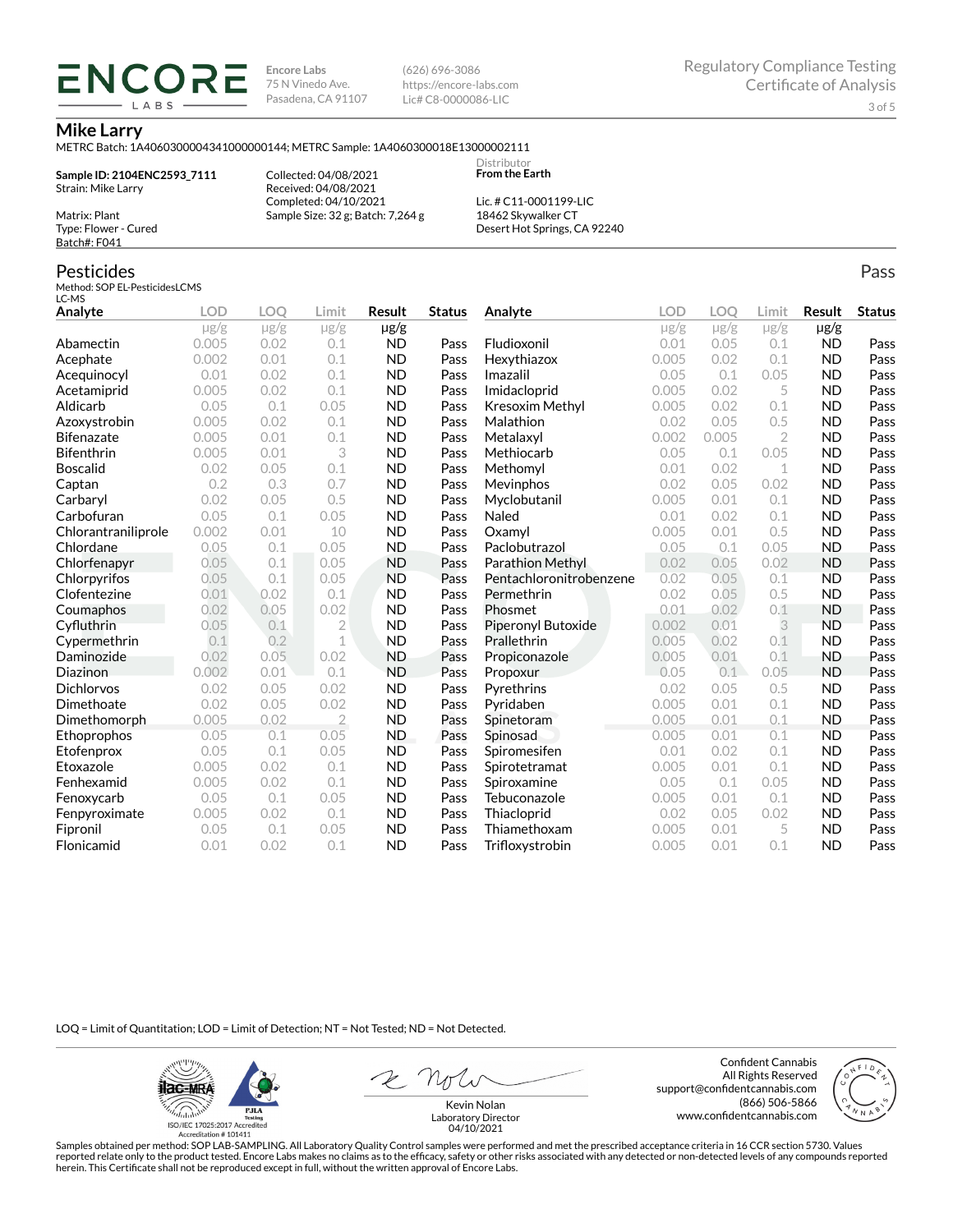**Encore Labs** 75 N Vinedo Ave. Pasadena, CA 91107 (626) 696-3086 https://encore-labs.com Lic# C8-0000086-LIC

> Distributor **From the Earth**

#### **Mike Larry**

METRC Batch: 1A4060300004341000000144; METRC Sample: 1A4060300018E13000002111

**Sample ID: 2104ENC2593\_7111** Strain: Mike Larry Matrix: Plant

ENCOR LABS

> Collected: 04/08/2021 Received: 04/08/2021 Completed: 04/10/2021 Sample Size: 32 g; Batch: 7,264 g

Lic. # C11-0001199-LIC 18462 Skywalker CT Desert Hot Springs, CA 92240

## Pesticides

Type: Flower - Cured Batch#: F041

Method: SOP EL-PesticidesLCMS LC-MS

| Analyte             | <b>LOD</b> | <b>LOO</b> | Limit          | Result    | <b>Status</b> | Analyte                 | LOD       | LOO       | Limit          | Result    | <b>Status</b> |
|---------------------|------------|------------|----------------|-----------|---------------|-------------------------|-----------|-----------|----------------|-----------|---------------|
|                     | $\mu$ g/g  | $\mu$ g/g  | $\mu$ g/g      | µg/g      |               |                         | $\mu$ g/g | $\mu$ g/g | $\mu$ g/g      | $\mu$ g/g |               |
| Abamectin           | 0.005      | 0.02       | 0.1            | <b>ND</b> | Pass          | Fludioxonil             | 0.01      | 0.05      | 0.1            | <b>ND</b> | Pass          |
| Acephate            | 0.002      | 0.01       | 0.1            | <b>ND</b> | Pass          | Hexythiazox             | 0.005     | 0.02      | 0.1            | <b>ND</b> | Pass          |
| Acequinocyl         | 0.01       | 0.02       | 0.1            | <b>ND</b> | Pass          | Imazalil                | 0.05      | 0.1       | 0.05           | <b>ND</b> | Pass          |
| Acetamiprid         | 0.005      | 0.02       | 0.1            | <b>ND</b> | Pass          | Imidacloprid            | 0.005     | 0.02      | 5              | <b>ND</b> | Pass          |
| Aldicarb            | 0.05       | 0.1        | 0.05           | <b>ND</b> | Pass          | Kresoxim Methyl         | 0.005     | 0.02      | 0.1            | <b>ND</b> | Pass          |
| Azoxystrobin        | 0.005      | 0.02       | 0.1            | <b>ND</b> | Pass          | Malathion               | 0.02      | 0.05      | 0.5            | <b>ND</b> | Pass          |
| <b>Bifenazate</b>   | 0.005      | 0.01       | 0.1            | <b>ND</b> | Pass          | Metalaxyl               | 0.002     | 0.005     | $\overline{2}$ | <b>ND</b> | Pass          |
| <b>Bifenthrin</b>   | 0.005      | 0.01       | 3              | <b>ND</b> | Pass          | Methiocarb              | 0.05      | 0.1       | 0.05           | <b>ND</b> | Pass          |
| <b>Boscalid</b>     | 0.02       | 0.05       | 0.1            | <b>ND</b> | Pass          | Methomvl                | 0.01      | 0.02      | $\mathbf 1$    | <b>ND</b> | Pass          |
| Captan              | 0.2        | 0.3        | 0.7            | <b>ND</b> | Pass          | Mevinphos               | 0.02      | 0.05      | 0.02           | <b>ND</b> | Pass          |
| Carbaryl            | 0.02       | 0.05       | 0.5            | <b>ND</b> | Pass          | Myclobutanil            | 0.005     | 0.01      | 0.1            | <b>ND</b> | Pass          |
| Carbofuran          | 0.05       | 0.1        | 0.05           | <b>ND</b> | Pass          | Naled                   | 0.01      | 0.02      | 0.1            | <b>ND</b> | Pass          |
| Chlorantraniliprole | 0.002      | 0.01       | 10             | <b>ND</b> | Pass          | Oxamvl                  | 0.005     | 0.01      | 0.5            | <b>ND</b> | Pass          |
| Chlordane           | 0.05       | 0.1        | 0.05           | <b>ND</b> | Pass          | Paclobutrazol           | 0.05      | 0.1       | 0.05           | <b>ND</b> | Pass          |
| Chlorfenapyr        | 0.05       | 0.1        | 0.05           | <b>ND</b> | Pass          | Parathion Methyl        | 0.02      | 0.05      | 0.02           | <b>ND</b> | Pass          |
| Chlorpyrifos        | 0.05       | 0.1        | 0.05           | <b>ND</b> | Pass          | Pentachloronitrobenzene | 0.02      | 0.05      | 0.1            | <b>ND</b> | Pass          |
| Clofentezine        | 0.01       | 0.02       | 0.1            | <b>ND</b> | Pass          | Permethrin              | 0.02      | 0.05      | 0.5            | <b>ND</b> | Pass          |
| Coumaphos           | 0.02       | 0.05       | 0.02           | <b>ND</b> | Pass          | Phosmet                 | 0.01      | 0.02      | 0.1            | <b>ND</b> | Pass          |
| Cyfluthrin          | 0.05       | 0.1        | $\overline{2}$ | <b>ND</b> | Pass          | Piperonyl Butoxide      | 0.002     | 0.01      | 3              | <b>ND</b> | Pass          |
| Cypermethrin        | 0.1        | 0.2        | 1              | <b>ND</b> | Pass          | Prallethrin             | 0.005     | 0.02      | 0.1            | <b>ND</b> | Pass          |
| Daminozide          | 0.02       | 0.05       | 0.02           | <b>ND</b> | Pass          | Propiconazole           | 0.005     | 0.01      | 0.1            | <b>ND</b> | Pass          |
| Diazinon            | 0.002      | 0.01       | 0.1            | <b>ND</b> | Pass          | Propoxur                | 0.05      | 0.1       | 0.05           | <b>ND</b> | Pass          |
| <b>Dichlorvos</b>   | 0.02       | 0.05       | 0.02           | <b>ND</b> | Pass          | Pyrethrins              | 0.02      | 0.05      | 0.5            | <b>ND</b> | Pass          |
| Dimethoate          | 0.02       | 0.05       | 0.02           | <b>ND</b> | Pass          | Pyridaben               | 0.005     | 0.01      | 0.1            | <b>ND</b> | Pass          |
| Dimethomorph        | 0.005      | 0.02       | $\overline{2}$ | <b>ND</b> | Pass          | Spinetoram              | 0.005     | 0.01      | 0.1            | <b>ND</b> | Pass          |
| Ethoprophos         | 0.05       | 0.1        | 0.05           | ND.       | Pass          | Spinosad                | 0.005     | 0.01      | 0.1            | <b>ND</b> | Pass          |
| Etofenprox          | 0.05       | 0.1        | 0.05           | <b>ND</b> | Pass          | Spiromesifen            | 0.01      | 0.02      | 0.1            | <b>ND</b> | Pass          |
| Etoxazole           | 0.005      | 0.02       | 0.1            | <b>ND</b> | Pass          | Spirotetramat           | 0.005     | 0.01      | 0.1            | <b>ND</b> | Pass          |
| Fenhexamid          | 0.005      | 0.02       | 0.1            | <b>ND</b> | Pass          | Spiroxamine             | 0.05      | 0.1       | 0.05           | <b>ND</b> | Pass          |
| Fenoxycarb          | 0.05       | 0.1        | 0.05           | <b>ND</b> | Pass          | Tebuconazole            | 0.005     | 0.01      | 0.1            | <b>ND</b> | Pass          |
| Fenpyroximate       | 0.005      | 0.02       | 0.1            | <b>ND</b> | Pass          | Thiacloprid             | 0.02      | 0.05      | 0.02           | <b>ND</b> | Pass          |
| Fipronil            | 0.05       | 0.1        | 0.05           | <b>ND</b> | Pass          | Thiamethoxam            | 0.005     | 0.01      | 5              | <b>ND</b> | Pass          |
| Flonicamid          | 0.01       | 0.02       | 0.1            | <b>ND</b> | Pass          | Trifloxystrobin         | 0.005     | 0.01      | 0.1            | <b>ND</b> | Pass          |

LOQ = Limit of Quantitation; LOD = Limit of Detection; NT = Not Tested; ND = Not Detected.

**Hac-MRA PJLA** .<br><sup>h</sup>ulub resung<br>ISO/IEC 17025:2017 Accredited<br>Accreditation # 101411

Confident Cannabis All Rights Reserved support@confidentcannabis.com (866) 506-5866 www.confidentcannabis.com



Kevin Nolan Laboratory Director 04/10/2021

Samples obtained per method: SOP LAB-SAMPLING. All Laboratory Quality Control samples were performed and met the prescribed acceptance criteria in 16 CCR section 5730. Values reported relate only to the product tested. Encore Labs makes no claims as to the efficacy, safety or other risks associated with any detected or non-detected levels of any compounds reported<br>herein. This Certificate shall

Pass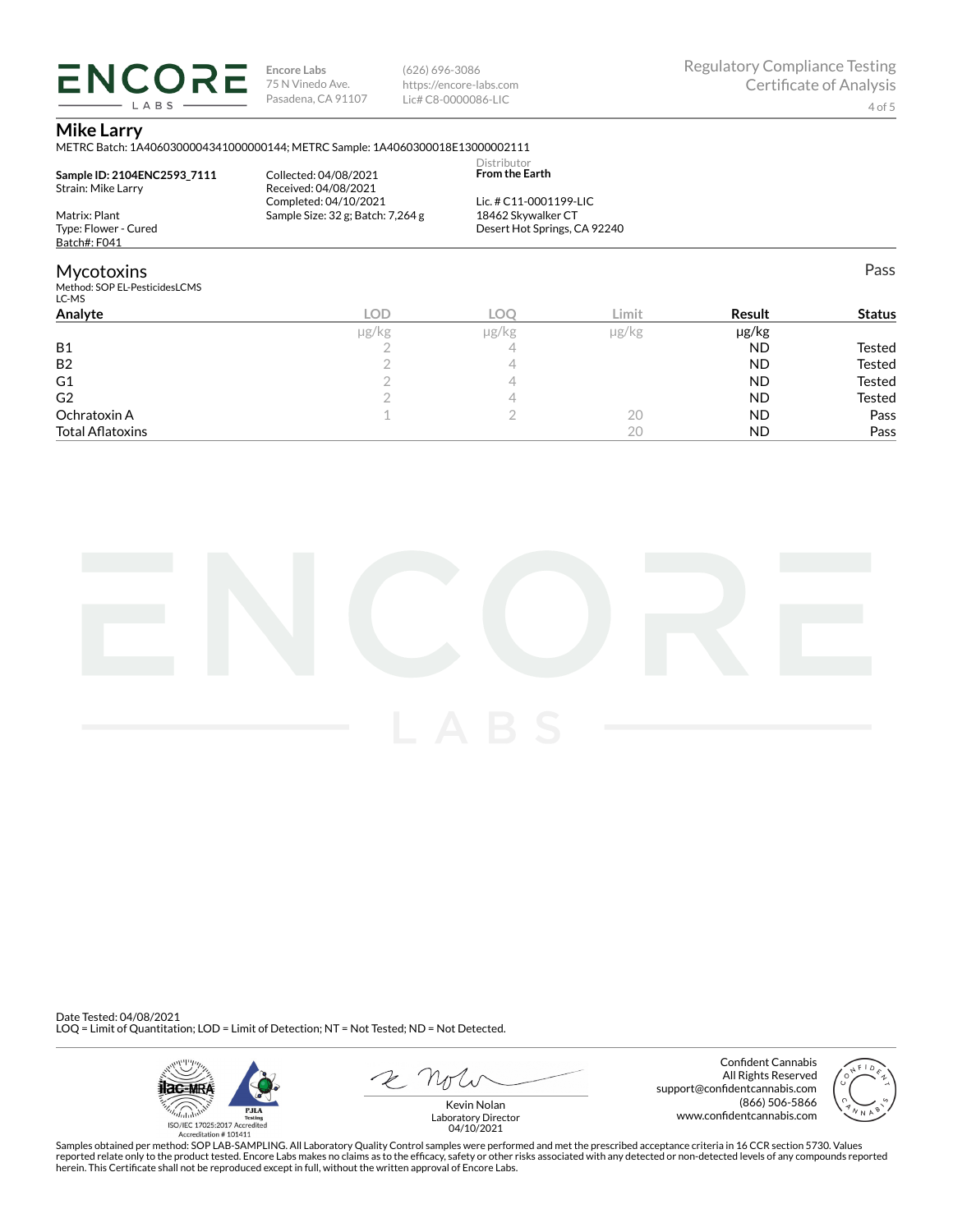**ENCORE** LABS

**Encore Labs** 75 N Vinedo Ave. Pasadena, CA 91107 (626) 696-3086 https://encore-labs.com Lic# C8-0000086-LIC

#### **Mike Larry**

METRC Batch: 1A4060300004341000000144; METRC Sample: 1A4060300018E13000002111

| Sample ID: 2104ENC2593 7111<br>Strain: Mike Larry | Collected: 04/08/2021<br>Received: 04/08/2021<br>Completed: 04/10/2021 | Distributor<br><b>From the Earth</b><br>Lic. # C11-0001199-LIC |       |               |               |
|---------------------------------------------------|------------------------------------------------------------------------|----------------------------------------------------------------|-------|---------------|---------------|
| Matrix: Plant                                     | Sample Size: 32 g; Batch: 7,264 g                                      | 18462 Skywalker CT                                             |       |               |               |
| Type: Flower - Cured                              |                                                                        | Desert Hot Springs, CA 92240                                   |       |               |               |
| Batch#: F041                                      |                                                                        |                                                                |       |               |               |
| Mycotoxins                                        |                                                                        |                                                                |       |               | Pass          |
| Method: SOP EL-PesticidesLCMS<br>LC-MS            |                                                                        |                                                                |       |               |               |
| Analvte                                           | LOD                                                                    | LOO                                                            | Limit | <b>Result</b> | <b>Status</b> |
|                                                   |                                                                        |                                                                |       | $\cdots$      |               |

|                         | ug/kg | $\mu$ g/kg | µg/kg | µg/kg     |               |
|-------------------------|-------|------------|-------|-----------|---------------|
| <b>B1</b>               |       |            |       | <b>ND</b> | Tested        |
| <b>B2</b>               |       |            |       | <b>ND</b> | Tested        |
| G <sub>1</sub>          |       |            |       | <b>ND</b> | <b>Tested</b> |
| G <sub>2</sub>          |       |            |       | <b>ND</b> | Tested        |
| Ochratoxin A            |       |            | ZÜ    | <b>ND</b> | Pass          |
| <b>Total Aflatoxins</b> |       |            |       | <b>ND</b> | Pass          |



Date Tested: 04/08/2021 LOQ = Limit of Quantitation; LOD = Limit of Detection; NT = Not Tested; ND = Not Detected.



 $R$  Mr

Confident Cannabis All Rights Reserved support@confidentcannabis.com (866) 506-5866 www.confidentcannabis.com



Kevin Nolan Laboratory Director 04/10/2021

Samples obtained per method: SOP LAB-SAMPLING. All Laboratory Quality Control samples were performed and met the prescribed acceptance criteria in 16 CCR section 5730. Values reported relate only to the product tested. Encore Labs makes no claims as to the efficacy, safety or other risks associated with any detected or non-detected levels of any compounds reported<br>herein. This Certificate shall